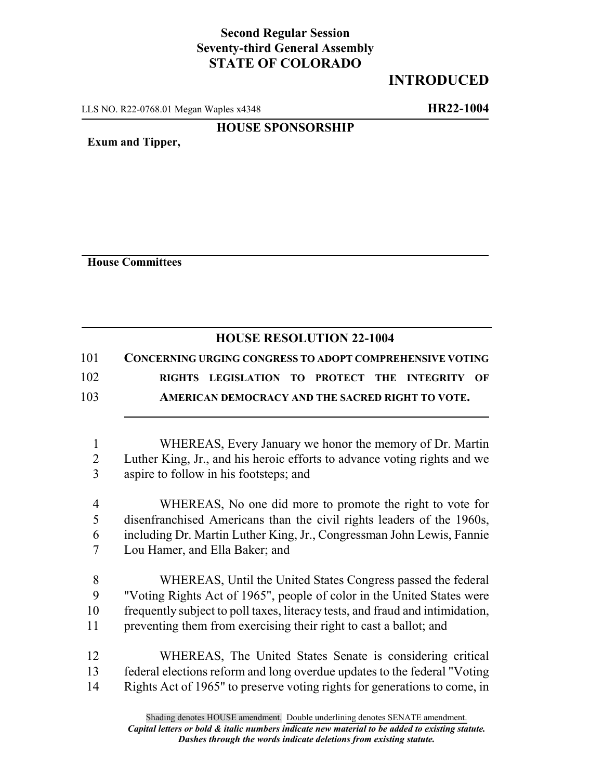## **Second Regular Session Seventy-third General Assembly STATE OF COLORADO**

## **INTRODUCED**

LLS NO. R22-0768.01 Megan Waples x4348 **HR22-1004**

## **HOUSE SPONSORSHIP**

**Exum and Tipper,**

**House Committees**

## **HOUSE RESOLUTION 22-1004**

101 **CONCERNING URGING CONGRESS TO ADOPT COMPREHENSIVE VOTING** 102 **RIGHTS LEGISLATION TO PROTECT THE INTEGRITY OF** 103 **AMERICAN DEMOCRACY AND THE SACRED RIGHT TO VOTE.**

1 WHEREAS, Every January we honor the memory of Dr. Martin 2 Luther King, Jr., and his heroic efforts to advance voting rights and we 3 aspire to follow in his footsteps; and

 WHEREAS, No one did more to promote the right to vote for disenfranchised Americans than the civil rights leaders of the 1960s, including Dr. Martin Luther King, Jr., Congressman John Lewis, Fannie Lou Hamer, and Ella Baker; and

 WHEREAS, Until the United States Congress passed the federal "Voting Rights Act of 1965", people of color in the United States were frequently subject to poll taxes, literacy tests, and fraud and intimidation, preventing them from exercising their right to cast a ballot; and

12 WHEREAS, The United States Senate is considering critical 13 federal elections reform and long overdue updates to the federal "Voting 14 Rights Act of 1965" to preserve voting rights for generations to come, in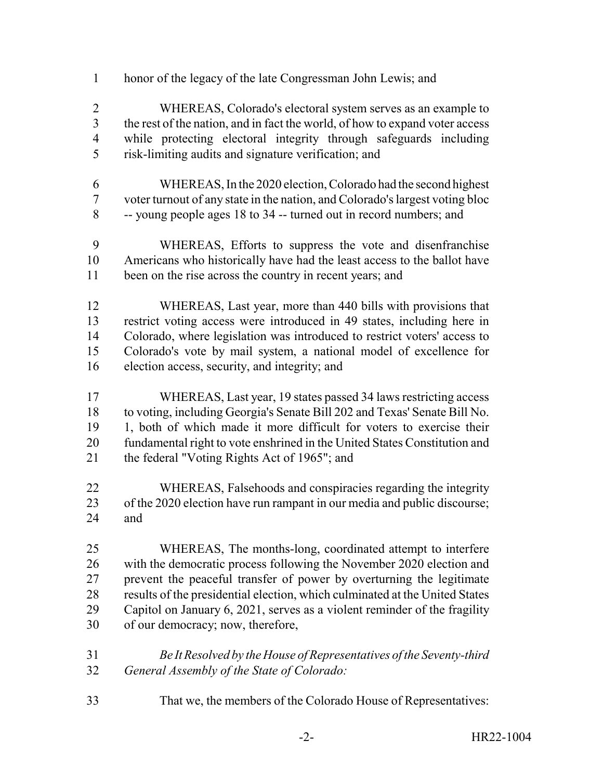honor of the legacy of the late Congressman John Lewis; and

 WHEREAS, Colorado's electoral system serves as an example to the rest of the nation, and in fact the world, of how to expand voter access while protecting electoral integrity through safeguards including risk-limiting audits and signature verification; and

- WHEREAS, In the 2020 election, Colorado had the second highest voter turnout of any state in the nation, and Colorado's largest voting bloc -- young people ages 18 to 34 -- turned out in record numbers; and
- WHEREAS, Efforts to suppress the vote and disenfranchise Americans who historically have had the least access to the ballot have 11 been on the rise across the country in recent years; and
- WHEREAS, Last year, more than 440 bills with provisions that restrict voting access were introduced in 49 states, including here in Colorado, where legislation was introduced to restrict voters' access to Colorado's vote by mail system, a national model of excellence for election access, security, and integrity; and
- WHEREAS, Last year, 19 states passed 34 laws restricting access to voting, including Georgia's Senate Bill 202 and Texas' Senate Bill No. 1, both of which made it more difficult for voters to exercise their fundamental right to vote enshrined in the United States Constitution and the federal "Voting Rights Act of 1965"; and
- WHEREAS, Falsehoods and conspiracies regarding the integrity 23 of the 2020 election have run rampant in our media and public discourse; and

 WHEREAS, The months-long, coordinated attempt to interfere with the democratic process following the November 2020 election and prevent the peaceful transfer of power by overturning the legitimate results of the presidential election, which culminated at the United States Capitol on January 6, 2021, serves as a violent reminder of the fragility of our democracy; now, therefore,

- *Be It Resolved by the House of Representatives of the Seventy-third General Assembly of the State of Colorado:*
- That we, the members of the Colorado House of Representatives: